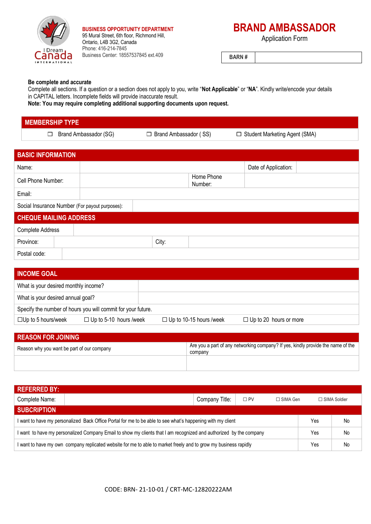

**BUSINESS OPPORTUNITY DEPARTMENT** 95 Mural Street, 6th floor, Richmond Hill, Ontario, L4B 3G2, Canada Phone: 416-214-7845 Business Center: 18557537845 ext.409

# **BRAND AMBASSADOR**

Application Form

**BARN #**

### **Be complete and accurate**

Complete all sections. If a question or a section does not apply to you, write "**Not Applicable**" or "**NA**". Kindly write/encode your details in CAPITAL letters. Incomplete fields will provide inaccurate result.

**Note: You may require completing additional supporting documents upon request.**

## **MEMBERSHIP TYPE**

 $\Box$  Brand Ambassador (SG)  $\Box$  Brand Ambassador (SS)  $\Box$  Student Marketing Agent (SMA)

| <b>BASIC INFORMATION</b>                       |  |  |       |                       |                      |  |
|------------------------------------------------|--|--|-------|-----------------------|----------------------|--|
| Name:                                          |  |  |       |                       | Date of Application: |  |
| Cell Phone Number:                             |  |  |       | Home Phone<br>Number: |                      |  |
| Email:                                         |  |  |       |                       |                      |  |
| Social Insurance Number (For payout purposes): |  |  |       |                       |                      |  |
| <b>CHEQUE MAILING ADDRESS</b>                  |  |  |       |                       |                      |  |
| Complete Address                               |  |  |       |                       |                      |  |
| Province:                                      |  |  | City: |                       |                      |  |
| Postal code:                                   |  |  |       |                       |                      |  |

| <b>INCOME GOAL</b>                                           |                               |                                |                               |  |  |
|--------------------------------------------------------------|-------------------------------|--------------------------------|-------------------------------|--|--|
| What is your desired monthly income?                         |                               |                                |                               |  |  |
| What is your desired annual goal?                            |                               |                                |                               |  |  |
| Specify the number of hours you will commit for your future. |                               |                                |                               |  |  |
| $\Box$ Up to 5 hours/week                                    | $\Box$ Up to 5-10 hours /week | $\Box$ Up to 10-15 hours /week | $\Box$ Up to 20 hours or more |  |  |

| <b>REASON FOR JOINING</b>                  |                                                                                             |  |  |  |
|--------------------------------------------|---------------------------------------------------------------------------------------------|--|--|--|
| Reason why you want be part of our company | Are you a part of any networking company? If yes, kindly provide the name of the<br>company |  |  |  |
|                                            |                                                                                             |  |  |  |

| <b>REFERRED BY:</b>                                                                                                |                                                   |  |  |                |     |    |
|--------------------------------------------------------------------------------------------------------------------|---------------------------------------------------|--|--|----------------|-----|----|
| Complete Name:                                                                                                     | Company Title:<br>$\square$ PV<br>$\Box$ SIMA Gen |  |  | □ SIMA Soldier |     |    |
| <b>SUBCRIPTION</b>                                                                                                 |                                                   |  |  |                |     |    |
| I want to have my personalized Back Office Portal for me to be able to see what's happening with my client         |                                                   |  |  |                | Yes | No |
| I want to have my personalized Company Email to show my clients that I am recognized and authorized by the company |                                                   |  |  | Yes            | No  |    |
| I want to have my own company replicated website for me to able to market freely and to grow my business rapidly   |                                                   |  |  | Yes            | No  |    |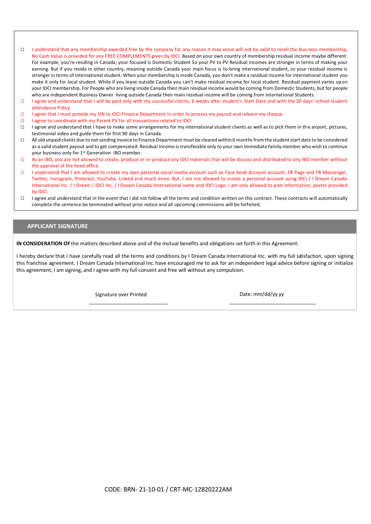- □ I understand that any membership awarded free by the company for any reason it may serve will not be valid to resell the business membership, No Cash Value is provided for any FREE COMPLEMENTS given by IDCI. Based on your own country of membership residual income maybe different. For example, you're residing in Canada; your focused is Domestic Student So your PV to PV Residual incomes are stronger in terms of making your earning. But if you reside in other country, meaning outside Canada your main focus is to bring international student, so your residual income is stronger in terms of international student. When your membership is inside Canada, you don't make a residual income for international student you make it only for local student. While if you leave outside Canada you can't make residual income for local student. Residual payment varies upon your IDCI membership. For People who are living inside Canada their main residual income would be coming from Domestic Students, but for people who are independent Business Owner living outside Canada their main residual income will be coming from International Students.
- □ I agree and understand that I will be paid only with my successful clients, 6 weeks after student's Start Date and with the 30 days' school student attendance Policy.
- ☐ I agree that I must provide my SIN to IDCI Finance Department in order to process my payout and release my cheque.
- ☐ I agree to coordinate with my Parent PV for all transactions related to IDCI
- □ I agree and understand that I have to make some arrangements for my international student clients as well as to pick them in the airport, pictures, testimonial video and guide them for first 90 days in Canada.
- ☐ All old unpaid clients due to not sending invoice to Finance Department must be cleared within 6 months from the student start date to be considered as a valid student payout and to get compensated. Residual Income is transferable only to your own immediate family member who wish to continue your business only for 1<sup>st</sup> Generation IBO member.
- □ As an IBO, you are not allowed to create, produce or re-produce any IDCI materials that will be discuss and distributed to any IBO member without the approval of the head office.
- □ I understand that I am allowed to create my own personal social media account such as Face book Account account, FB Page and FB Messenger, Twitter, Instagram, Pinterest, YouTube, Linked and much more. But, I am not allowed to create a personal account using IDCI / I Dream Canada International Inc. / I Dream / IDCI Inc. / I Dream Canada International name and IDCI Logo. I am only allowed to post information, poster provided by IDCI.
- □ I agree and understand that in the event that I did not follow all the terms and condition written on this contract. These contracts will automatically complete the sentence be terminated without prior notice and all upcoming commissions will be forfeited.

#### **APPLICANT SIGNATURE**

**IN CONSIDERATION OF** the matters described above and of the mutual benefits and obligations set forth in this Agreement.

 $\mathcal{I} = \{ \mathcal{I} \mid \mathcal{I} \neq \emptyset \}$  will receive increments payments  $\mathcal{I} = \{ \mathcal{I} \mid \mathcal{I} \neq \emptyset \}$ 

I hereby declare that I have carefully read all the terms and conditions by I Dream Canada International Inc. with my full satisfaction, upon signing this franchise agreement. I Dream Canada International Inc. have encouraged me to ask for an independent legal advice before signing or initialize this agreement, I am signing, and I agree with my full consent and free will without any compulsion.

Signature over Printed and Date: mm/dd/yy yy

NameName